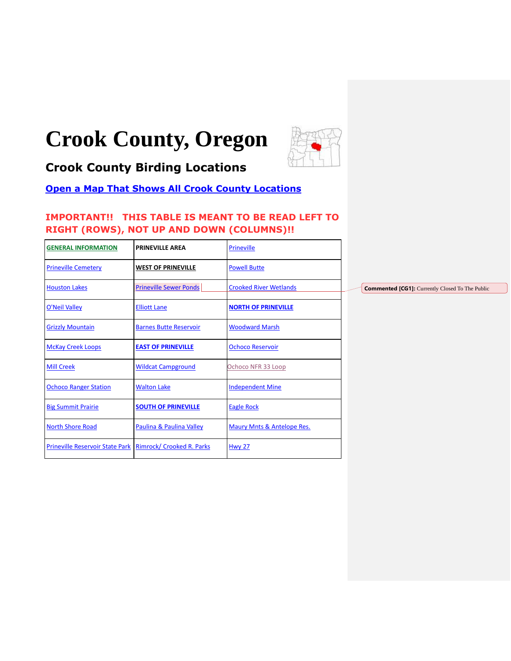# **Crook County, Oregon**



# <span id="page-0-0"></span>**Crook County Birding Locations**

# **[Open a Map That Shows All Crook County Locations](https://www.google.com/maps/d/edit?mid=zVl1oTDALjf4.k0lgnyBCPIW4&usp=sharing)**

# **IMPORTANT!! THIS TABLE IS MEANT TO BE READ LEFT TO RIGHT (ROWS), NOT UP AND DOWN (COLUMNS)!!**

| <b>GENERAL INFORMATION</b>             | <b>PRINEVILLE AREA</b>        | Prineville                    |                                                        |
|----------------------------------------|-------------------------------|-------------------------------|--------------------------------------------------------|
| <b>Prineville Cemetery</b>             | <b>WEST OF PRINEVILLE</b>     | <b>Powell Butte</b>           |                                                        |
| <b>Houston Lakes</b>                   | <b>Prineville Sewer Ponds</b> | <b>Crooked River Wetlands</b> | <b>Commented [CG1]:</b> Currently Closed To The Public |
| O'Neil Valley                          | <b>Elliott Lane</b>           | <b>NORTH OF PRINEVILLE</b>    |                                                        |
| <b>Grizzly Mountain</b>                | <b>Barnes Butte Reservoir</b> | <b>Woodward Marsh</b>         |                                                        |
| <b>McKay Creek Loops</b>               | <b>EAST OF PRINEVILLE</b>     | <b>Ochoco Reservoir</b>       |                                                        |
| <b>Mill Creek</b>                      | <b>Wildcat Campground</b>     | Ochoco NFR 33 Loop            |                                                        |
| <b>Ochoco Ranger Station</b>           | <b>Walton Lake</b>            | <b>Independent Mine</b>       |                                                        |
| <b>Big Summit Prairie</b>              | <b>SOUTH OF PRINEVILLE</b>    | <b>Eagle Rock</b>             |                                                        |
| <b>North Shore Road</b>                | Paulina & Paulina Valley      | Maury Mnts & Antelope Res.    |                                                        |
| <b>Prineville Reservoir State Park</b> | Rimrock/ Crooked R. Parks     | <b>Hwy 27</b>                 |                                                        |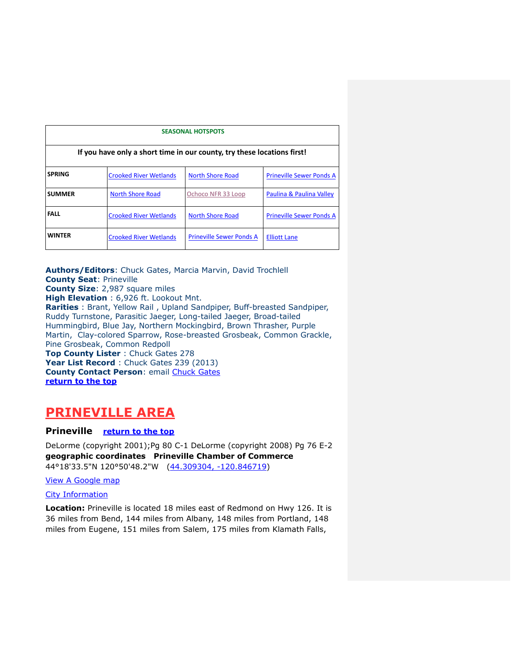<span id="page-1-3"></span>

| <b>SEASONAL HOTSPOTS</b>                                                |                               |                                 |                                 |  |  |  |
|-------------------------------------------------------------------------|-------------------------------|---------------------------------|---------------------------------|--|--|--|
| If you have only a short time in our county, try these locations first! |                               |                                 |                                 |  |  |  |
| <b>SPRING</b>                                                           | <b>Crooked River Wetlands</b> | <b>North Shore Road</b>         | <b>Prineville Sewer Ponds A</b> |  |  |  |
| <b>SUMMER</b>                                                           | <b>North Shore Road</b>       | Ochoco NFR 33 Loop              | Paulina & Paulina Valley        |  |  |  |
| <b>FALL</b>                                                             | <b>Crooked River Wetlands</b> | <b>North Shore Road</b>         | <b>Prineville Sewer Ponds A</b> |  |  |  |
| <b>WINTER</b>                                                           | <b>Crooked River Wetlands</b> | <b>Prineville Sewer Ponds A</b> | <b>Elliott Lane</b>             |  |  |  |

<span id="page-1-0"></span>**Authors/Editors**: Chuck Gates, Marcia Marvin, David Trochlell **County Seat**: Prineville **County Size**: 2,987 square miles **High Elevation** : 6,926 ft. Lookout Mnt. **Rarities** : Brant, Yellow Rail , Upland Sandpiper, Buff-breasted Sandpiper, Ruddy Turnstone, Parasitic Jaeger, Long-tailed Jaeger, Broad-tailed Hummingbird, Blue Jay, Northern Mockingbird, Brown Thrasher, Purple Martin, Clay-colored Sparrow, Rose-breasted Grosbeak, Common Grackle, Pine Grosbeak, Common Redpoll **Top County Lister** : Chuck Gates 278 Year List Record : Chuck Gates 239 (2013) **County Contact Person**: email [Chuck Gates](mailto:cgates326@gmail.com) **[return to the top](#page-0-0)**

# <span id="page-1-1"></span>**PRINEVILLE AREA**

# <span id="page-1-2"></span>**Prineville [return to the top](#page-0-0)**

DeLorme (copyright 2001);Pg 80 C-1 DeLorme (copyright 2008) Pg 76 E-2 **geographic coordinates Prineville Chamber of Commerce**  44°18'33.5"N 120°50'48.2"W [\(44.309304, -120.846719\)](https://www.google.com/maps/place/44°18)

#### [View A Google map](http://maps.google.com/maps/ms?ie=UTF8&hl=en&msa=0&msid=108036481085398338899.000462ea9375958e8704d&ll=44.310461,-120.842657&spn=0.050424,0.132179&z=14%3e)

#### [City Information](http://www.citytowninfo.com/places/oregon/prineville)

**Location:** Prineville is located 18 miles east of Redmond on Hwy 126. It is 36 miles from Bend, 144 miles from Albany, 148 miles from Portland, 148 miles from Eugene, 151 miles from Salem, 175 miles from Klamath Falls,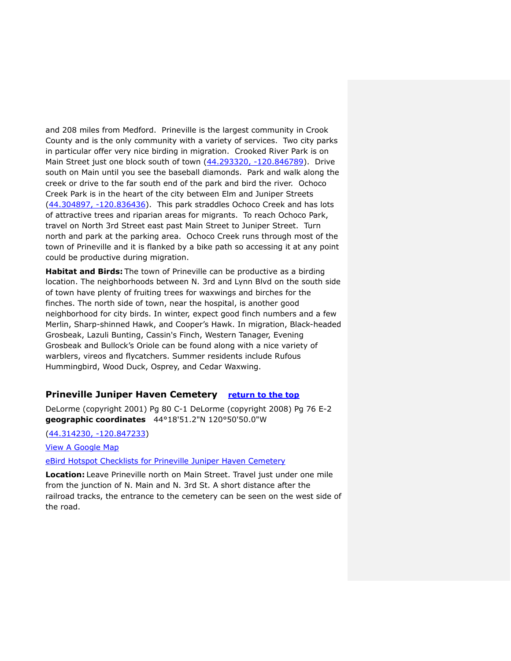and 208 miles from Medford. Prineville is the largest community in Crook County and is the only community with a variety of services. Two city parks in particular offer very nice birding in migration. Crooked River Park is on Main Street just one block south of town [\(44.293320, -120.846789\)](https://www.google.com/maps/place/44°17). Drive south on Main until you see the baseball diamonds. Park and walk along the creek or drive to the far south end of the park and bird the river. Ochoco Creek Park is in the heart of the city between Elm and Juniper Streets [\(44.304897, -120.836436\)](https://www.google.com/maps/place/44°18). This park straddles Ochoco Creek and has lots of attractive trees and riparian areas for migrants. To reach Ochoco Park, travel on North 3rd Street east past Main Street to Juniper Street. Turn north and park at the parking area. Ochoco Creek runs through most of the town of Prineville and it is flanked by a bike path so accessing it at any point could be productive during migration.

**Habitat and Birds:** The town of Prineville can be productive as a birding location. The neighborhoods between N. 3rd and Lynn Blvd on the south side of town have plenty of fruiting trees for waxwings and birches for the finches. The north side of town, near the hospital, is another good neighborhood for city birds. In winter, expect good finch numbers and a few Merlin, Sharp-shinned Hawk, and Cooper's Hawk. In migration, Black-headed Grosbeak, Lazuli Bunting, Cassin's Finch, Western Tanager, Evening Grosbeak and Bullock's Oriole can be found along with a nice variety of warblers, vireos and flycatchers. Summer residents include Rufous Hummingbird, Wood Duck, Osprey, and Cedar Waxwing.

### <span id="page-2-0"></span>**Prineville Juniper Haven Cemetery** [return to the top](#page-0-0)

DeLorme (copyright 2001) Pg 80 C-1 DeLorme (copyright 2008) Pg 76 E-2 **geographic coordinates** 44°18'51.2"N 120°50'50.0"W

#### [\(44.314230, -120.847233\)](https://www.google.com/maps/place/44°18)

[View A Google Map](http://maps.google.com/maps/ms?hl=en&ie=UTF8&msa=0&msid=108036481085398338899.000462ecbb159e23c3cd0&ll=44.314268,-120.848579&spn=0.094208,0.264187&z=13)

[eBird Hotspot Checklists for Prineville Juniper Haven Cemetery](http://ebird.org/ebird/hotspot/L1659870)

**Location:** Leave Prineville north on Main Street. Travel just under one mile from the junction of N. Main and N. 3rd St. A short distance after the railroad tracks, the entrance to the cemetery can be seen on the west side of the road.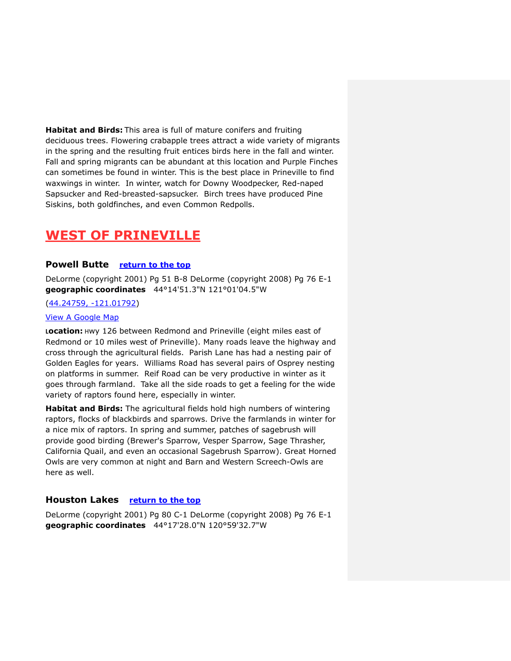**Habitat and Birds:** This area is full of mature conifers and fruiting deciduous trees. Flowering crabapple trees attract a wide variety of migrants in the spring and the resulting fruit entices birds here in the fall and winter. Fall and spring migrants can be abundant at this location and Purple Finches can sometimes be found in winter. This is the best place in Prineville to find waxwings in winter. In winter, watch for Downy Woodpecker, Red-naped Sapsucker and Red-breasted-sapsucker. Birch trees have produced Pine Siskins, both goldfinches, and even Common Redpolls.

# <span id="page-3-0"></span>**WEST OF PRINEVILLE**

# <span id="page-3-1"></span>**Powell Butte [return to the top](#page-0-0)**

DeLorme (copyright 2001) Pg 51 B-8 DeLorme (copyright 2008) Pg 76 E-1 **geographic coordinates** 44°14'51.3"N 121°01'04.5"W

## [\(44.24759, -121.01792\)](https://www.google.com/maps/place/44°14)

#### [View A Google Map](http://maps.google.com/maps/ms?hl=en&ie=UTF8&msa=0&msid=108036481085398338899.000462ea8a557e8e9adbf&ll=44.247167,-121.017838&spn=0.377262,1.056747&z=11)

**Location:** Hwy 126 between Redmond and Prineville (eight miles east of Redmond or 10 miles west of Prineville). Many roads leave the highway and cross through the agricultural fields. Parish Lane has had a nesting pair of Golden Eagles for years. Williams Road has several pairs of Osprey nesting on platforms in summer. Reif Road can be very productive in winter as it goes through farmland. Take all the side roads to get a feeling for the wide variety of raptors found here, especially in winter.

**Habitat and Birds:** The agricultural fields hold high numbers of wintering raptors, flocks of blackbirds and sparrows. Drive the farmlands in winter for a nice mix of raptors. In spring and summer, patches of sagebrush will provide good birding (Brewer's Sparrow, Vesper Sparrow, Sage Thrasher, California Quail, and even an occasional Sagebrush Sparrow). Great Horned Owls are very common at night and Barn and Western Screech-Owls are here as well.

# <span id="page-3-2"></span>**Houston Lakes [return to the top](#page-0-0)**

DeLorme (copyright 2001) Pg 80 C-1 DeLorme (copyright 2008) Pg 76 E-1 **geographic coordinates** 44°17'28.0"N 120°59'32.7"W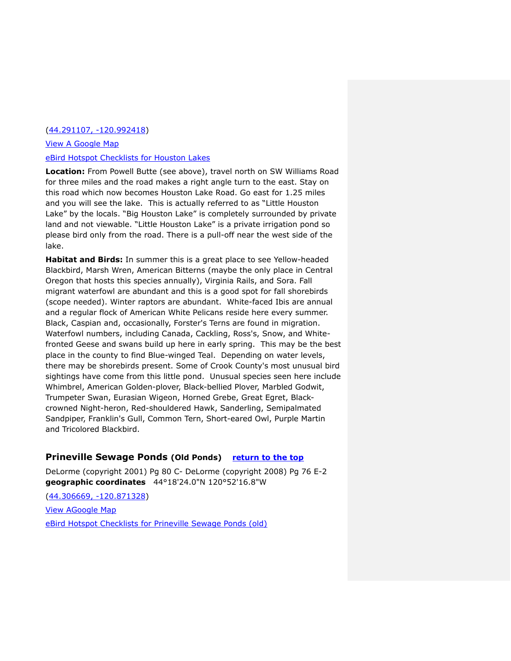### [\(44.291107, -120.992418\)](https://www.google.com/maps/place/44°17)

# [View A Google Map](http://maps.google.com/maps/ms?hl=en&ie=UTF8&msa=0&msid=108036481085398338899.000462ec6fdd4097c7263&ll=44.29191,-120.981102&spn=0.195615,0.528374&z=12) [eBird Hotspot Checklists for Houston Lakes](http://ebird.org/ebird/hotspot/L679604)

**Location:** From Powell Butte (see above), travel north on SW Williams Road for three miles and the road makes a right angle turn to the east. Stay on this road which now becomes Houston Lake Road. Go east for 1.25 miles and you will see the lake. This is actually referred to as "Little Houston Lake" by the locals. "Big Houston Lake" is completely surrounded by private land and not viewable. "Little Houston Lake" is a private irrigation pond so please bird only from the road. There is a pull-off near the west side of the lake.

**Habitat and Birds:** In summer this is a great place to see Yellow-headed Blackbird, Marsh Wren, American Bitterns (maybe the only place in Central Oregon that hosts this species annually), Virginia Rails, and Sora. Fall migrant waterfowl are abundant and this is a good spot for fall shorebirds (scope needed). Winter raptors are abundant. White-faced Ibis are annual and a regular flock of American White Pelicans reside here every summer. Black, Caspian and, occasionally, Forster's Terns are found in migration. Waterfowl numbers, including Canada, Cackling, Ross's, Snow, and Whitefronted Geese and swans build up here in early spring. This may be the best place in the county to find Blue-winged Teal. Depending on water levels, there may be shorebirds present. Some of Crook County's most unusual bird sightings have come from this little pond. Unusual species seen here include Whimbrel, American Golden-plover, Black-bellied Plover, Marbled Godwit, Trumpeter Swan, Eurasian Wigeon, Horned Grebe, Great Egret, Blackcrowned Night-heron, Red-shouldered Hawk, Sanderling, Semipalmated Sandpiper, Franklin's Gull, Common Tern, Short-eared Owl, Purple Martin and Tricolored Blackbird.

# <span id="page-4-0"></span>**Prineville Sewage Ponds (Old Ponds) [return to the top](#page-0-0)**

DeLorme (copyright 2001) Pg 80 C- DeLorme (copyright 2008) Pg 76 E-2 **geographic coordinates** 44°18'24.0"N 120°52'16.8"W

[\(44.306669, -120.871328\)](https://www.google.com/maps/place/44°18) [View AGoogle Map](https://maps.google.com/maps/ms?msid=200542696373675968937.000462ea9375958e8704d&msa=0&ll=44.316602,-120.866604&spn=0.064236,0.132093)  [eBird Hotspot Checklists for Prineville Sewage Ponds \(old\)](http://ebird.org/ebird/hotspot/L809291)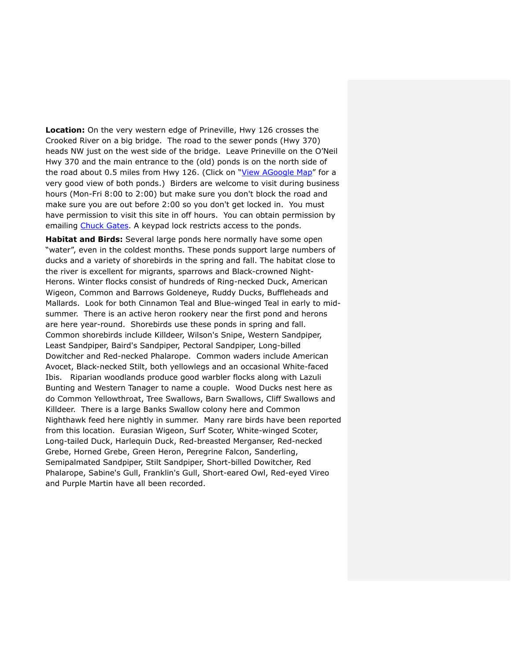**Location:** On the very western edge of Prineville, Hwy 126 crosses the Crooked River on a big bridge. The road to the sewer ponds (Hwy 370) heads NW just on the west side of the bridge. Leave Prineville on the O'Neil Hwy 370 and the main entrance to the (old) ponds is on the north side of the road about 0.5 miles from Hwy 126. (Click on "[View AGoogle Map](https://maps.google.com/maps/ms?msid=200542696373675968937.000462ea9375958e8704d&msa=0&ll=44.316602,-120.866604&spn=0.064236,0.132093)" for a very good view of both ponds.) Birders are welcome to visit during business hours (Mon-Fri 8:00 to 2:00) but make sure you don't block the road and make sure you are out before 2:00 so you don't get locked in. You must have permission to visit this site in off hours. You can obtain permission by emailing [Chuck Gates.](mailto:cgates326@gmail.com?subject=Prineville%20Sewer%20Ponds%20Access) A keypad lock restricts access to the ponds.

<span id="page-5-0"></span>**Habitat and Birds:** Several large ponds here normally have some open "water", even in the coldest months. These ponds support large numbers of ducks and a variety of shorebirds in the spring and fall. The habitat close to the river is excellent for migrants, sparrows and Black-crowned Night-Herons. Winter flocks consist of hundreds of Ring-necked Duck, American Wigeon, Common and Barrows Goldeneye, Ruddy Ducks, Buffleheads and Mallards. Look for both Cinnamon Teal and Blue-winged Teal in early to midsummer. There is an active heron rookery near the first pond and herons are here year-round. Shorebirds use these ponds in spring and fall. Common shorebirds include Killdeer, Wilson's Snipe, Western Sandpiper, Least Sandpiper, Baird's Sandpiper, Pectoral Sandpiper, Long-billed Dowitcher and Red-necked Phalarope. Common waders include American Avocet, Black-necked Stilt, both yellowlegs and an occasional White-faced Ibis. Riparian woodlands produce good warbler flocks along with Lazuli Bunting and Western Tanager to name a couple. Wood Ducks nest here as do Common Yellowthroat, Tree Swallows, Barn Swallows, Cliff Swallows and Killdeer. There is a large Banks Swallow colony here and Common Nighthawk feed here nightly in summer. Many rare birds have been reported from this location. Eurasian Wigeon, Surf Scoter, White-winged Scoter, Long-tailed Duck, Harlequin Duck, Red-breasted Merganser, Red-necked Grebe, Horned Grebe, Green Heron, Peregrine Falcon, Sanderling, Semipalmated Sandpiper, Stilt Sandpiper, Short-billed Dowitcher, Red Phalarope, Sabine's Gull, Franklin's Gull, Short-eared Owl, Red-eyed Vireo and Purple Martin have all been recorded.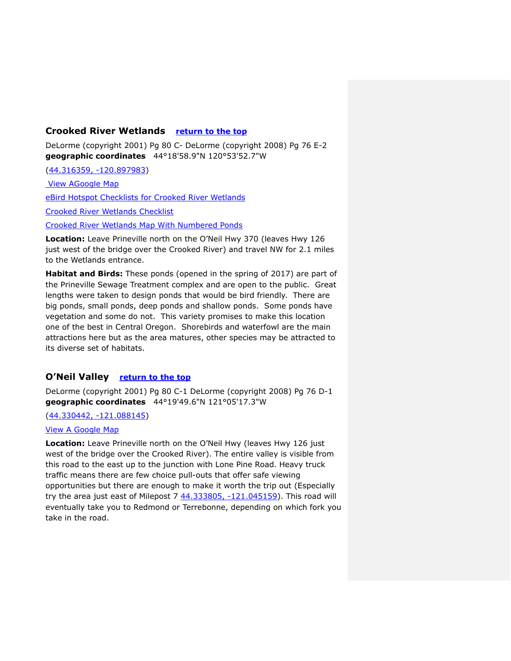# **Crooked River Wetlands [return to the top](#page-0-0)**

DeLorme (copyright 2001) Pg 80 C- DeLorme (copyright 2008) Pg 76 E-2 **geographic coordinates** 44°18'58.9"N 120°53'52.7"W

[\(44.316359, -120.897983\)](https://www.google.com/maps/place/44°18)

[View AGoogle Map](http://maps.google.com/maps/ms?ie=UTF8&hl=en&msa=0&msid=108036481085398338899.000462ea9375958e8704d&ll=44.310461,-120.842657&spn=0.050424,0.132179&z=14http://) 

[eBird Hotspot Checklists for Crooked River Wetlands](http://ebird.org/ebird/hotspot/L5987280)

[Crooked River Wetlands Checklist](https://drive.google.com/file/d/0BwlY-wfLN-fEUkVFUXpDV3lWbU0/view?usp=sharing)

[Crooked River Wetlands Map With Numbered Ponds](https://drive.google.com/file/d/0BwlY-wfLN-fEdzZmUDJXMVVscGM/view?usp=sharing)

**Location:** Leave Prineville north on the O'Neil Hwy 370 (leaves Hwy 126 just west of the bridge over the Crooked River) and travel NW for 2.1 miles to the Wetlands entrance.

**Habitat and Birds:** These ponds (opened in the spring of 2017) are part of the Prineville Sewage Treatment complex and are open to the public. Great lengths were taken to design ponds that would be bird friendly. There are big ponds, small ponds, deep ponds and shallow ponds. Some ponds have vegetation and some do not. This variety promises to make this location one of the best in Central Oregon. Shorebirds and waterfowl are the main attractions here but as the area matures, other species may be attracted to its diverse set of habitats.

# <span id="page-6-0"></span>**O'Neil Valley [return to the top](#page-0-0)**

DeLorme (copyright 2001) Pg 80 C-1 DeLorme (copyright 2008) Pg 76 D-1 **geographic coordinates** 44°19'49.6"N 121°05'17.3"W

# [\(44.330442, -121.088145\)](https://www.google.com/maps/place/44°19)

#### [View A Google Map](http://maps.google.com/maps/ms?hl=en&ie=UTF8&msa=0&msid=108036481085398338899.000462ec8259433e520e3&ll=44.442666,-121.03363&spn=0.402479,1.057434&z=11http://)

**Location:** Leave Prineville north on the O'Neil Hwy (leaves Hwy 126 just west of the bridge over the Crooked River). The entire valley is visible from this road to the east up to the junction with Lone Pine Road. Heavy truck traffic means there are few choice pull-outs that offer safe viewing opportunities but there are enough to make it worth the trip out (Especially try the area just east of Milepost  $744.333805, -121.045159$ ). This road will eventually take you to Redmond or Terrebonne, depending on which fork you take in the road.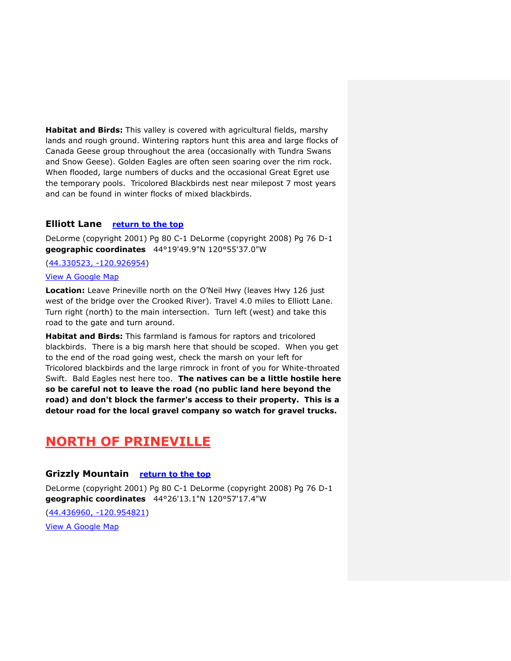**Habitat and Birds:** This valley is covered with agricultural fields, marshy lands and rough ground. Wintering raptors hunt this area and large flocks of Canada Geese group throughout the area (occasionally with Tundra Swans and Snow Geese). Golden Eagles are often seen soaring over the rim rock. When flooded, large numbers of ducks and the occasional Great Egret use the temporary pools. Tricolored Blackbirds nest near milepost 7 most years and can be found in winter flocks of mixed blackbirds.

# <span id="page-7-0"></span>**Elliott Lane [return to the top](#page-0-0)**

DeLorme (copyright 2001) Pg 80 C-1 DeLorme (copyright 2008) Pg 76 D-1 **geographic coordinates** 44°19'49.9"N 120°55'37.0"W

[\(44.330523, -120.926954\)](https://www.google.com/maps/place/44°19)

## [View A Google Map](http://maps.google.com/maps/ms?hl=en&ie=UTF8&msa=0&msid=108036481085398338899.000462ec8259433e520e3&ll=44.442666,-121.03363&spn=0.402479,1.057434&z=11http://)

**Location:** Leave Prineville north on the O'Neil Hwy (leaves Hwy 126 just west of the bridge over the Crooked River). Travel 4.0 miles to Elliott Lane. Turn right (north) to the main intersection. Turn left (west) and take this road to the gate and turn around.

**Habitat and Birds:** This farmland is famous for raptors and tricolored blackbirds. There is a big marsh here that should be scoped. When you get to the end of the road going west, check the marsh on your left for Tricolored blackbirds and the large rimrock in front of you for White-throated Swift. Bald Eagles nest here too. **The natives can be a little hostile here so be careful not to leave the road (no public land here beyond the road) and don't block the farmer's access to their property. This is a detour road for the local gravel company so watch for gravel trucks.**

# <span id="page-7-1"></span>**NORTH OF PRINEVILLE**

# <span id="page-7-2"></span>**Grizzly Mountain [return to the top](#page-0-0)**

DeLorme (copyright 2001) Pg 80 C-1 DeLorme (copyright 2008) Pg 76 D-1 **geographic coordinates** 44°26'13.1"N 120°57'17.4"W

[\(44.436960, -120.954821\)](https://www.google.com/maps/place/44°26)

[View A Google Map](http://maps.google.com/maps/ms?hl=en&ie=UTF8&msa=0&msid=108036481085398338899.000462ea3afeb853dd76c&ll=44.366569,-120.916214&spn=0.376495,1.056747&z=11)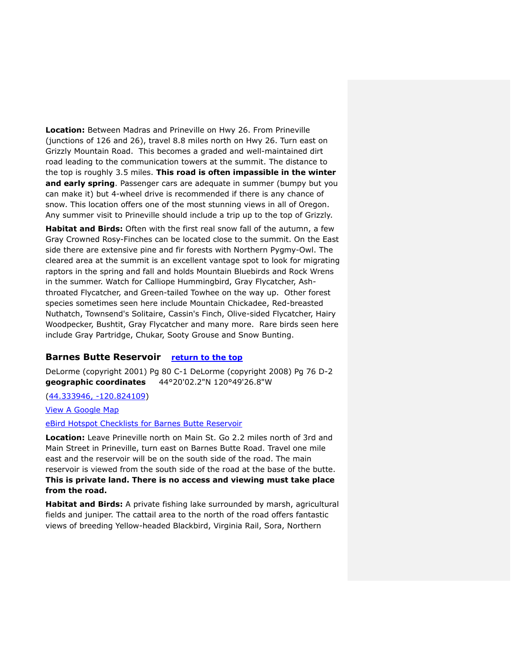**Location:** Between Madras and Prineville on Hwy 26. From Prineville (junctions of 126 and 26), travel 8.8 miles north on Hwy 26. Turn east on Grizzly Mountain Road. This becomes a graded and well-maintained dirt road leading to the communication towers at the summit. The distance to the top is roughly 3.5 miles. **This road is often impassible in the winter and early spring**. Passenger cars are adequate in summer (bumpy but you can make it) but 4-wheel drive is recommended if there is any chance of snow. This location offers one of the most stunning views in all of Oregon. Any summer visit to Prineville should include a trip up to the top of Grizzly.

**Habitat and Birds:** Often with the first real snow fall of the autumn, a few Gray Crowned Rosy-Finches can be located close to the summit. On the East side there are extensive pine and fir forests with Northern Pygmy-Owl. The cleared area at the summit is an excellent vantage spot to look for migrating raptors in the spring and fall and holds Mountain Bluebirds and Rock Wrens in the summer. Watch for Calliope Hummingbird, Gray Flycatcher, Ashthroated Flycatcher, and Green-tailed Towhee on the way up. Other forest species sometimes seen here include Mountain Chickadee, Red-breasted Nuthatch, Townsend's Solitaire, Cassin's Finch, Olive-sided Flycatcher, Hairy Woodpecker, Bushtit, Gray Flycatcher and many more. Rare birds seen here include Gray Partridge, Chukar, Sooty Grouse and Snow Bunting.

#### <span id="page-8-0"></span>**Barnes Butte Reservoir [return to the top](#page-0-0)**

DeLorme (copyright 2001) Pg 80 C-1 DeLorme (copyright 2008) Pg 76 D-2 **geographic coordinates** 44°20'02.2"N 120°49'26.8"W

[\(44.333946, -120.824109\)](https://www.google.com/maps/place/44°20)

[View A Google Map](http://maps.google.com/maps/ms?hl=en&ie=UTF8&msa=0&msid=108036481085398338899.000462eca0be47533e826&ll=44.325813,-120.835361&spn=0.097751,0.264187&z=13)

[eBird Hotspot Checklists for Barnes Butte Reservoir](http://ebird.org/ebird/hotspot/L809291)

**Location:** Leave Prineville north on Main St. Go 2.2 miles north of 3rd and Main Street in Prineville, turn east on Barnes Butte Road. Travel one mile east and the reservoir will be on the south side of the road. The main reservoir is viewed from the south side of the road at the base of the butte. **This is private land. There is no access and viewing must take place from the road.**

**Habitat and Birds:** A private fishing lake surrounded by marsh, agricultural fields and juniper. The cattail area to the north of the road offers fantastic views of breeding Yellow-headed Blackbird, Virginia Rail, Sora, Northern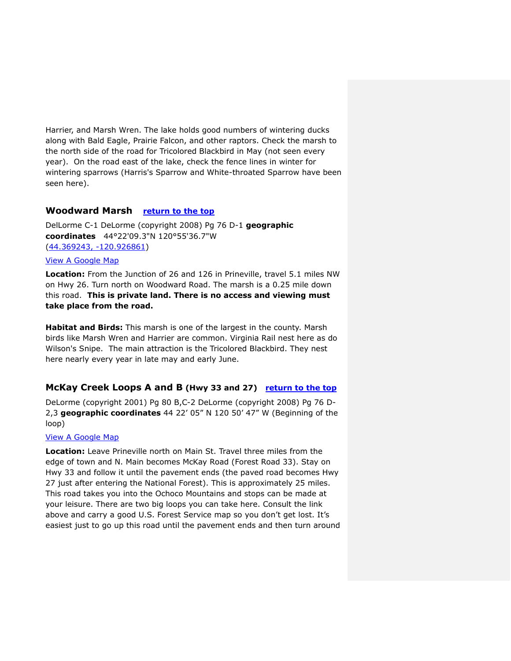Harrier, and Marsh Wren. The lake holds good numbers of wintering ducks along with Bald Eagle, Prairie Falcon, and other raptors. Check the marsh to the north side of the road for Tricolored Blackbird in May (not seen every year). On the road east of the lake, check the fence lines in winter for wintering sparrows (Harris's Sparrow and White-throated Sparrow have been seen here).

# <span id="page-9-0"></span>**Woodward Marsh [return to the top](#page-0-0)**

DelLorme C-1 DeLorme (copyright 2008) Pg 76 D-1 **geographic coordinates** 44°22'09.3"N 120°55'36.7"W [\(44.369243, -120.926861\)](https://www.google.com/maps/place/44°22)

## [View A Google Map](http://maps.google.com/maps/ms?hl=en&ie=UTF8&msa=0&msid=108036481085398338899.000462ecc9996329483f9&ll=44.335882,-120.893211&spn=0.195468,0.528374&z=12)

**Location:** From the Junction of 26 and 126 in Prineville, travel 5.1 miles NW on Hwy 26. Turn north on Woodward Road. The marsh is a 0.25 mile down this road. **This is private land. There is no access and viewing must take place from the road.**

**Habitat and Birds:** This marsh is one of the largest in the county. Marsh birds like Marsh Wren and Harrier are common. Virginia Rail nest here as do Wilson's Snipe. The main attraction is the Tricolored Blackbird. They nest here nearly every year in late may and early June.

# <span id="page-9-1"></span>**McKay Creek Loops A and B (Hwy 33 and 27) [return to the top](#page-0-0)**

DeLorme (copyright 2001) Pg 80 B,C-2 DeLorme (copyright 2008) Pg 76 D-2,3 **geographic coordinates** 44 22' 05" N 120 50' 47" W (Beginning of the loop)

#### [View A Google Map](http://maps.google.com/maps/ms?hl=en&ie=UTF8&msa=0&msid=108036481085398338899.000462ecf5789e87ecaf2&ll=44.414164,-120.62027&spn=0.780829,2.113495&z=10)

**Location:** Leave Prineville north on Main St. Travel three miles from the edge of town and N. Main becomes McKay Road (Forest Road 33). Stay on Hwy 33 and follow it until the pavement ends (the paved road becomes Hwy 27 just after entering the National Forest). This is approximately 25 miles. This road takes you into the Ochoco Mountains and stops can be made at your leisure. There are two big loops you can take here. Consult the link above and carry a good U.S. Forest Service map so you don't get lost. It's easiest just to go up this road until the pavement ends and then turn around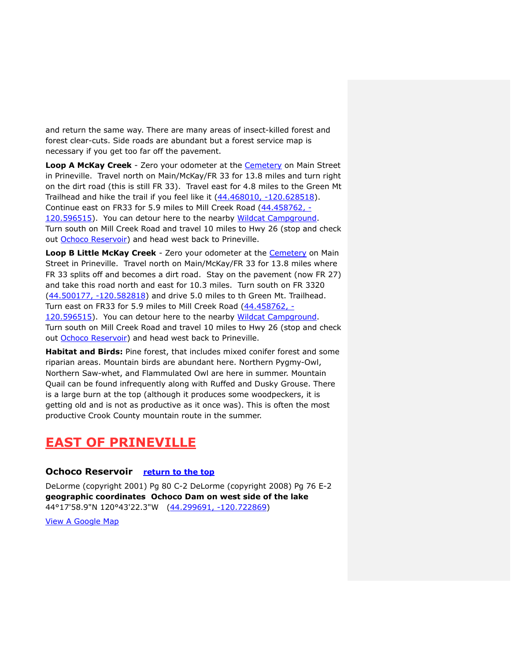and return the same way. There are many areas of insect-killed forest and forest clear-cuts. Side roads are abundant but a forest service map is necessary if you get too far off the pavement.

**Loop A McKay Creek** - Zero your odometer at the [Cemetery](#page-2-0) on Main Street in Prineville. Travel north on Main/McKay/FR 33 for 13.8 miles and turn right on the dirt road (this is still FR 33). Travel east for 4.8 miles to the Green Mt Trailhead and hike the trail if you feel like it [\(44.468010, -120.628518\)](https://www.google.com/maps/place/44°28). Continue east on FR33 for 5.9 miles to Mill Creek Road [\(44.458762, -](https://www.google.com/maps/place/44°27) [120.596515\)](https://www.google.com/maps/place/44°27). You can detour here to the nearby [Wildcat Campground.](#page-12-0) Turn south on Mill Creek Road and travel 10 miles to Hwy 26 (stop and check out [Ochoco Reservoir\)](#page-10-1) and head west back to Prineville.

**Loop B Little McKay Creek** - Zero your odometer at the [Cemetery](#page-2-0) on Main Street in Prineville. Travel north on Main/McKay/FR 33 for 13.8 miles where FR 33 splits off and becomes a dirt road. Stay on the pavement (now FR 27) and take this road north and east for 10.3 miles. Turn south on FR 3320 [\(44.500177, -120.582818\)](https://www.google.com/maps/place/44°30) and drive 5.0 miles to th Green Mt. Trailhead. Turn east on FR33 for 5.9 miles to Mill Creek Road [\(44.458762, -](https://www.google.com/maps/place/44°27) [120.596515\)](https://www.google.com/maps/place/44°27). You can detour here to the nearby [Wildcat Campground.](#page-12-0) Turn south on Mill Creek Road and travel 10 miles to Hwy 26 (stop and check out [Ochoco Reservoir\)](#page-10-1) and head west back to Prineville.

**Habitat and Birds:** Pine forest, that includes mixed conifer forest and some riparian areas. Mountain birds are abundant here. Northern Pygmy-Owl, Northern Saw-whet, and Flammulated Owl are here in summer. Mountain Quail can be found infrequently along with Ruffed and Dusky Grouse. There is a large burn at the top (although it produces some woodpeckers, it is getting old and is not as productive as it once was). This is often the most productive Crook County mountain route in the summer.

# <span id="page-10-0"></span>**EAST OF PRINEVILLE**

# <span id="page-10-1"></span>**Ochoco Reservoir [return to the top](#page-0-0)**

DeLorme (copyright 2001) Pg 80 C-2 DeLorme (copyright 2008) Pg 76 E-2 **geographic coordinates Ochoco Dam on west side of the lake** 44°17'58.9"N 120°43'22.3"W [\(44.299691, -120.722869\)](https://www.google.com/maps/place/44°17)

[View A Google Map](http://maps.google.com/maps/ms?hl=en&ie=UTF8&msa=0&msid=108036481085398338899.000462f153f4daa3ac04a&ll=44.300019,-120.676746&spn=0.097794,0.264187&z=13)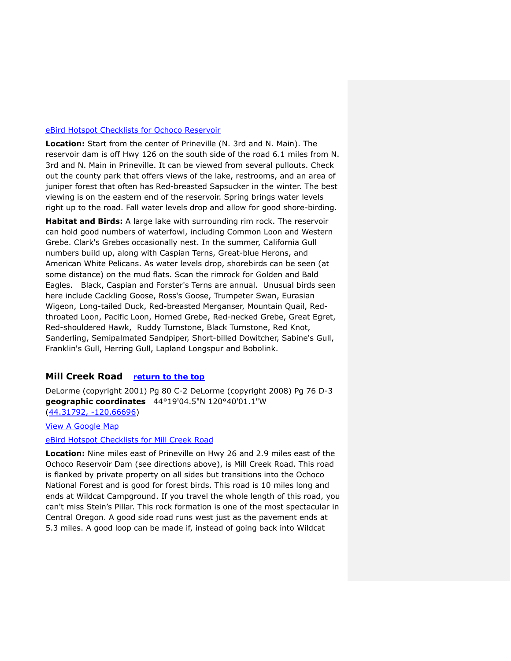#### [eBird Hotspot Checklists for Ochoco Reservoir](http://ebird.org/ebird/hotspot/L454015)

**Location:** Start from the center of Prineville (N. 3rd and N. Main). The reservoir dam is off Hwy 126 on the south side of the road 6.1 miles from N. 3rd and N. Main in Prineville. It can be viewed from several pullouts. Check out the county park that offers views of the lake, restrooms, and an area of juniper forest that often has Red-breasted Sapsucker in the winter. The best viewing is on the eastern end of the reservoir. Spring brings water levels right up to the road. Fall water levels drop and allow for good shore-birding.

**Habitat and Birds:** A large lake with surrounding rim rock. The reservoir can hold good numbers of waterfowl, including Common Loon and Western Grebe. Clark's Grebes occasionally nest. In the summer, California Gull numbers build up, along with Caspian Terns, Great-blue Herons, and American White Pelicans. As water levels drop, shorebirds can be seen (at some distance) on the mud flats. Scan the rimrock for Golden and Bald Eagles. Black, Caspian and Forster's Terns are annual. Unusual birds seen here include Cackling Goose, Ross's Goose, Trumpeter Swan, Eurasian Wigeon, Long-tailed Duck, Red-breasted Merganser, Mountain Quail, Redthroated Loon, Pacific Loon, Horned Grebe, Red-necked Grebe, Great Egret, Red-shouldered Hawk, Ruddy Turnstone, Black Turnstone, Red Knot, Sanderling, Semipalmated Sandpiper, Short-billed Dowitcher, Sabine's Gull, Franklin's Gull, Herring Gull, Lapland Longspur and Bobolink.

# <span id="page-11-0"></span>**Mill Creek Road [return to the top](#page-0-0)**

DeLorme (copyright 2001) Pg 80 C-2 DeLorme (copyright 2008) Pg 76 D-3 **geographic coordinates** 44°19'04.5"N 120°40'01.1"W [\(44.31792, -120.66696\)](https://www.google.com/maps/place/44°19)

[View A Google Map](http://maps.google.com/maps/ms?hl=en&ie=UTF8&msa=0&msid=108036481085398338899.000462f163f178d3b119a&ll=44.378349,-120.603104&spn=0.390654,1.056747&z=11)

#### [eBird Hotspot Checklists for Mill Creek Road](http://ebird.org/ebird/hotspot/L1658141)

**Location:** Nine miles east of Prineville on Hwy 26 and 2.9 miles east of the Ochoco Reservoir Dam (see directions above), is Mill Creek Road. This road is flanked by private property on all sides but transitions into the Ochoco National Forest and is good for forest birds. This road is 10 miles long and ends at Wildcat Campground. If you travel the whole length of this road, you can't miss Stein's Pillar. This rock formation is one of the most spectacular in Central Oregon. A good side road runs west just as the pavement ends at 5.3 miles. A good loop can be made if, instead of going back into Wildcat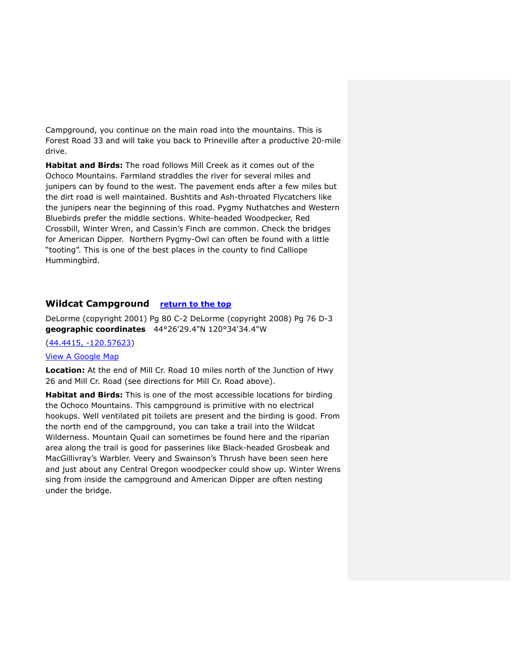Campground, you continue on the main road into the mountains. This is Forest Road 33 and will take you back to Prineville after a productive 20-mile drive.

**Habitat and Birds:** The road follows Mill Creek as it comes out of the Ochoco Mountains. Farmland straddles the river for several miles and junipers can by found to the west. The pavement ends after a few miles but the dirt road is well maintained. Bushtits and Ash-throated Flycatchers like the junipers near the beginning of this road. Pygmy Nuthatches and Western Bluebirds prefer the middle sections. White-headed Woodpecker, Red Crossbill, Winter Wren, and Cassin's Finch are common. Check the bridges for American Dipper. Northern Pygmy-Owl can often be found with a little "tooting". This is one of the best places in the county to find Calliope Hummingbird.

# <span id="page-12-0"></span>**Wildcat Campground [return to the top](#page-0-0)**

DeLorme (copyright 2001) Pg 80 C-2 DeLorme (copyright 2008) Pg 76 D-3 **geographic coordinates** 44°26'29.4"N 120°34'34.4"W

#### (44.4415, [-120.57623\)](https://www.google.com/maps/place/44°26)

#### [View A Google Map](http://maps.google.com/maps/ms?hl=en&ie=UTF8&msa=0&msid=108036481085398338899.000462f163f178d3b119a&ll=44.378349,-120.603104&spn=0.390654,1.056747&z=11)

**Location:** At the end of Mill Cr. Road 10 miles north of the Junction of Hwy 26 and Mill Cr. Road (see directions for Mill Cr. Road above).

<span id="page-12-1"></span>**Habitat and Birds:** This is one of the most accessible locations for birding the Ochoco Mountains. This campground is primitive with no electrical hookups. Well ventilated pit toilets are present and the birding is good. From the north end of the campground, you can take a trail into the Wildcat Wilderness. Mountain Quail can sometimes be found here and the riparian area along the trail is good for passerines like Black-headed Grosbeak and MacGillivray's Warbler. Veery and Swainson's Thrush have been seen here and just about any Central Oregon woodpecker could show up. Winter Wrens sing from inside the campground and American Dipper are often nesting under the bridge.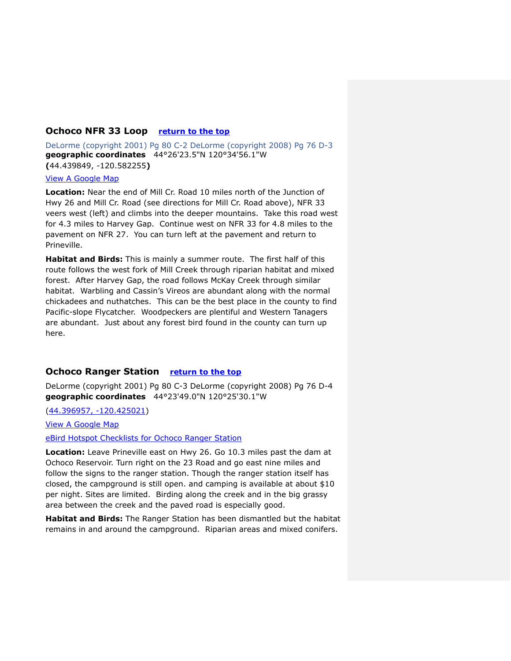#### **Ochoco NFR 33 Loop [return to the top](#page-0-0)**

DeLorme (copyright 2001) Pg 80 C-2 DeLorme (copyright 2008) Pg 76 D-3 **geographic coordinates** 44°26'23.5"N 120°34'56.1"W **(**44.439849, -120.582255**)**

# [View A Google Map](http://maps.google.com/maps/ms?hl=en&ie=UTF8&msa=0&msid=108036481085398338899.000462f163f178d3b119a&ll=44.378349,-120.603104&spn=0.390654,1.056747&z=11)

**Location:** Near the end of Mill Cr. Road 10 miles north of the Junction of Hwy 26 and Mill Cr. Road (see directions for Mill Cr. Road above), NFR 33 veers west (left) and climbs into the deeper mountains. Take this road west for 4.3 miles to Harvey Gap. Continue west on NFR 33 for 4.8 miles to the pavement on NFR 27. You can turn left at the pavement and return to Prineville.

**Habitat and Birds:** This is mainly a summer route. The first half of this route follows the west fork of Mill Creek through riparian habitat and mixed forest. After Harvey Gap, the road follows McKay Creek through similar habitat. Warbling and Cassin's Vireos are abundant along with the normal chickadees and nuthatches. This can be the best place in the county to find Pacific-slope Flycatcher. Woodpeckers are plentiful and Western Tanagers are abundant. Just about any forest bird found in the county can turn up here.

### <span id="page-13-0"></span>**Ochoco Ranger Station [return to the top](#page-0-0)**

DeLorme (copyright 2001) Pg 80 C-3 DeLorme (copyright 2008) Pg 76 D-4 **geographic coordinates** 44°23'49.0"N 120°25'30.1"W

[\(44.396957, -120.425021\)](https://www.google.com/maps/place/44°23)

[View A Google Map](http://maps.google.com/maps/ms?hl=en&ie=UTF8&msa=0&msid=108036481085398338899.000462f18c98256ba78ee&ll=44.380803,-120.528259&spn=0.752805,2.113495&z=10)

[eBird Hotspot Checklists for Ochoco Ranger Station](http://ebird.org/ebird/hotspot/L1658189)

**Location:** Leave Prineville east on Hwy 26. Go 10.3 miles past the dam at Ochoco Reservoir. Turn right on the 23 Road and go east nine miles and follow the signs to the ranger station. Though the ranger station itself has closed, the campground is still open. and camping is available at about \$10 per night. Sites are limited. Birding along the creek and in the big grassy area between the creek and the paved road is especially good.

**Habitat and Birds:** The Ranger Station has been dismantled but the habitat remains in and around the campground. Riparian areas and mixed conifers.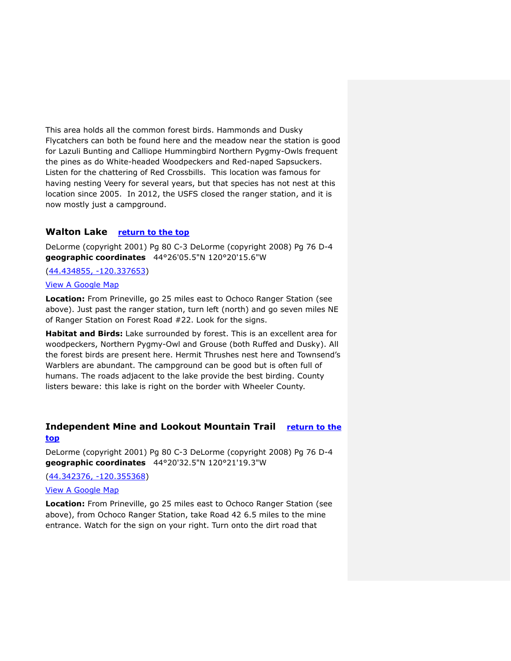This area holds all the common forest birds. Hammonds and Dusky Flycatchers can both be found here and the meadow near the station is good for Lazuli Bunting and Calliope Hummingbird Northern Pygmy-Owls frequent the pines as do White-headed Woodpeckers and Red-naped Sapsuckers. Listen for the chattering of Red Crossbills. This location was famous for having nesting Veery for several years, but that species has not nest at this location since 2005. In 2012, the USFS closed the ranger station, and it is now mostly just a campground.

### <span id="page-14-0"></span>**Walton Lake [return to the top](#page-0-0)**

DeLorme (copyright 2001) Pg 80 C-3 DeLorme (copyright 2008) Pg 76 D-4 **geographic coordinates** 44°26'05.5"N 120°20'15.6"W

[\(44.434855, -120.337653\)](https://www.google.com/maps/place/44°26)

#### [View A Google Map](http://maps.google.com/maps/ms?hl=en&ie=UTF8&msa=0&msid=108036481085398338899.000462f1a778dc4fc6794&ll=44.388164,-120.423889&spn=0.390588,1.056747&z=11)

**Location:** From Prineville, go 25 miles east to Ochoco Ranger Station (see above). Just past the ranger station, turn left (north) and go seven miles NE of Ranger Station on Forest Road #22. Look for the signs.

**Habitat and Birds:** Lake surrounded by forest. This is an excellent area for woodpeckers, Northern Pygmy-Owl and Grouse (both Ruffed and Dusky). All the forest birds are present here. Hermit Thrushes nest here and Townsend's Warblers are abundant. The campground can be good but is often full of humans. The roads adjacent to the lake provide the best birding. County listers beware: this lake is right on the border with Wheeler County.

# <span id="page-14-1"></span>**Independent Mine and Lookout Mountain Trail [return to the](#page-0-0)  [top](#page-0-0)**

DeLorme (copyright 2001) Pg 80 C-3 DeLorme (copyright 2008) Pg 76 D-4 **geographic coordinates** 44°20'32.5"N 120°21'19.3"W

[\(44.342376, -120.355368\)](https://www.google.com/maps/place/44°20)

#### [View A Google Map](http://maps.google.com/maps/ms?hl=en&ie=UTF8&msa=0&msid=108036481085398338899.000462f1d25f2e7ba9065&ll=44.368029,-120.45084&spn=0.390722,1.056747&z=11)

**Location:** From Prineville, go 25 miles east to Ochoco Ranger Station (see above), from Ochoco Ranger Station, take Road 42 6.5 miles to the mine entrance. Watch for the sign on your right. Turn onto the dirt road that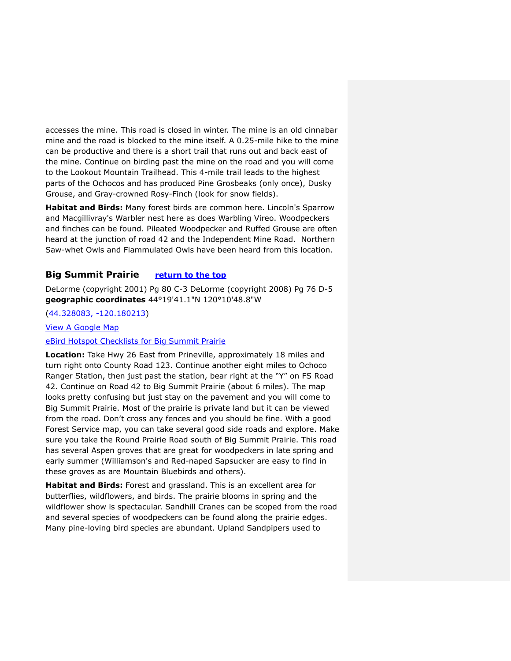accesses the mine. This road is closed in winter. The mine is an old cinnabar mine and the road is blocked to the mine itself. A 0.25-mile hike to the mine can be productive and there is a short trail that runs out and back east of the mine. Continue on birding past the mine on the road and you will come to the Lookout Mountain Trailhead. This 4-mile trail leads to the highest parts of the Ochocos and has produced Pine Grosbeaks (only once), Dusky Grouse, and Gray-crowned Rosy-Finch (look for snow fields).

**Habitat and Birds:** Many forest birds are common here. Lincoln's Sparrow and Macgillivray's Warbler nest here as does Warbling Vireo. Woodpeckers and finches can be found. Pileated Woodpecker and Ruffed Grouse are often heard at the junction of road 42 and the Independent Mine Road. Northern Saw-whet Owls and Flammulated Owls have been heard from this location.

# <span id="page-15-0"></span>**Big Summit Prairie [return to the top](#page-0-0)**

DeLorme (copyright 2001) Pg 80 C-3 DeLorme (copyright 2008) Pg 76 D-5 **geographic coordinates** 44°19'41.1"N 120°10'48.8"W

### [\(44.328083, -120.180213\)](https://www.google.com/maps/place/44°19)

[View A Google Map](http://maps.google.com/maps/ms?hl=en&ie=UTF8&msa=0&msid=108036481085398338899.000462f1f838af4498e18&ll=44.352332,-120.334625&spn=0.390827,1.056747&z=11)

#### [eBird Hotspot Checklists for Big Summit](http://ebird.org/ebird/hotspot/L2301140) Prairie

**Location:** Take Hwy 26 East from Prineville, approximately 18 miles and turn right onto County Road 123. Continue another eight miles to Ochoco Ranger Station, then just past the station, bear right at the "Y" on FS Road 42. Continue on Road 42 to Big Summit Prairie (about 6 miles). The map looks pretty confusing but just stay on the pavement and you will come to Big Summit Prairie. Most of the prairie is private land but it can be viewed from the road. Don't cross any fences and you should be fine. With a good Forest Service map, you can take several good side roads and explore. Make sure you take the Round Prairie Road south of Big Summit Prairie. This road has several Aspen groves that are great for woodpeckers in late spring and early summer (Williamson's and Red-naped Sapsucker are easy to find in these groves as are Mountain Bluebirds and others).

**Habitat and Birds:** Forest and grassland. This is an excellent area for butterflies, wildflowers, and birds. The prairie blooms in spring and the wildflower show is spectacular. Sandhill Cranes can be scoped from the road and several species of woodpeckers can be found along the prairie edges. Many pine-loving bird species are abundant. Upland Sandpipers used to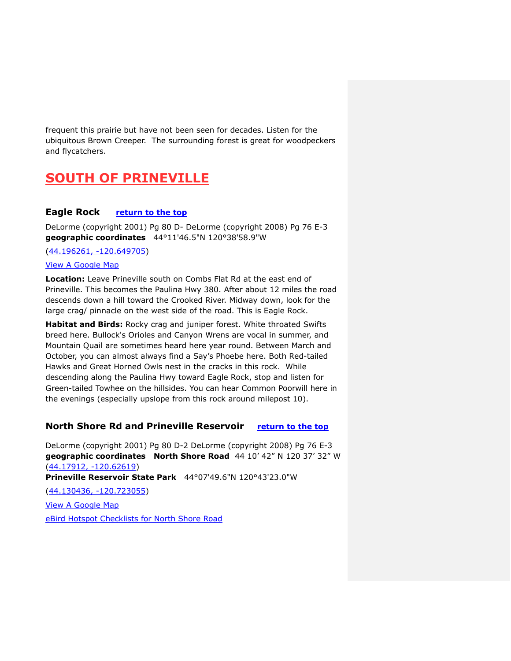frequent this prairie but have not been seen for decades. Listen for the ubiquitous Brown Creeper. The surrounding forest is great for woodpeckers and flycatchers.

# <span id="page-16-0"></span>**SOUTH OF PRINEVILLE**

## <span id="page-16-1"></span>**Eagle Rock [return to the top](#page-0-0)**

DeLorme (copyright 2001) Pg 80 D- DeLorme (copyright 2008) Pg 76 E-3 **geographic coordinates** 44°11'46.5"N 120°38'58.9"W

[\(44.196261, -120.649705\)](https://www.google.com/maps/place/44°11)

#### [View A Google Map](http://maps.google.com/maps/ms?hl=en&ie=UTF8&msa=0&msid=108036481085398338899.000462f25efa624626861&ll=44.193036,-120.696487&spn=0.391888,1.056747&z=11)

**Location:** Leave Prineville south on Combs Flat Rd at the east end of Prineville. This becomes the Paulina Hwy 380. After about 12 miles the road descends down a hill toward the Crooked River. Midway down, look for the large crag/ pinnacle on the west side of the road. This is Eagle Rock.

**Habitat and Birds:** Rocky crag and juniper forest. White throated Swifts breed here. Bullock's Orioles and Canyon Wrens are vocal in summer, and Mountain Quail are sometimes heard here year round. Between March and October, you can almost always find a Say's Phoebe here. Both Red-tailed Hawks and Great Horned Owls nest in the cracks in this rock. While descending along the Paulina Hwy toward Eagle Rock, stop and listen for Green-tailed Towhee on the hillsides. You can hear Common Poorwill here in the evenings (especially upslope from this rock around milepost 10).

# <span id="page-16-2"></span>**North Shore Rd and Prineville Reservoir [return to the top](#page-0-0)**

DeLorme (copyright 2001) Pg 80 D-2 DeLorme (copyright 2008) Pg 76 E-3 **geographic coordinates North Shore Road** 44 10' 42" N 120 37' 32" W [\(44.17912, -120.62619\)](https://www.google.com/maps/place/44°10) **Prineville Reservoir State Park** 44°07'49.6"N 120°43'23.0"W [\(44.130436, -120.723055\)](https://www.google.com/maps/place/44°07) [View A Google Map](http://maps.google.com/maps/ms?hl=en&ie=UTF8&msa=0&msid=108036481085398338899.000462f25efa624626861&ll=44.193036,-120.696487&spn=0.391888,1.056747&z=11) [eBird Hotspot Checklists for North Shore Road](http://ebird.org/ebird/hotspot/L2301090)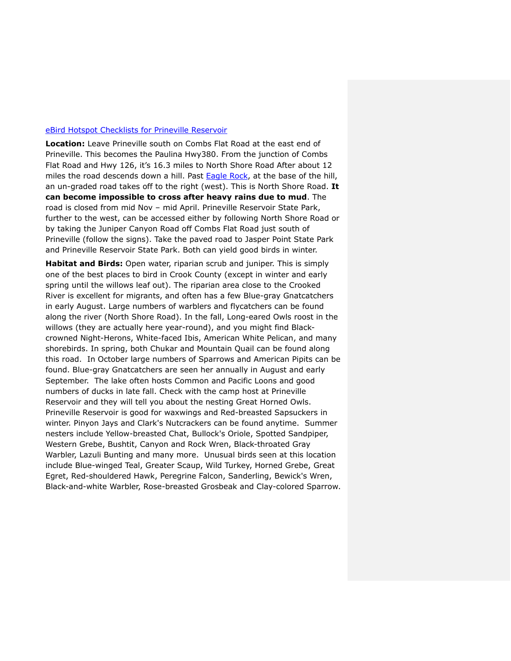#### [eBird Hotspot Checklists for Prineville Reservoir](http://ebird.org/ebird/hotspot/L1659790)

**Location:** Leave Prineville south on Combs Flat Road at the east end of Prineville. This becomes the Paulina Hwy380. From the junction of Combs Flat Road and Hwy 126, it's 16.3 miles to North Shore Road After about 12 miles the road descends down a hill. Past [Eagle Rock,](#page-16-1) at the base of the hill, an un-graded road takes off to the right (west). This is North Shore Road. **It can become impossible to cross after heavy rains due to mud**. The road is closed from mid Nov – mid April. Prineville Reservoir State Park, further to the west, can be accessed either by following North Shore Road or by taking the Juniper Canyon Road off Combs Flat Road just south of Prineville (follow the signs). Take the paved road to Jasper Point State Park and Prineville Reservoir State Park. Both can yield good birds in winter.

**Habitat and Birds:** Open water, riparian scrub and juniper. This is simply one of the best places to bird in Crook County (except in winter and early spring until the willows leaf out). The riparian area close to the Crooked River is excellent for migrants, and often has a few Blue-gray Gnatcatchers in early August. Large numbers of warblers and flycatchers can be found along the river (North Shore Road). In the fall, Long-eared Owls roost in the willows (they are actually here year-round), and you might find Blackcrowned Night-Herons, White-faced Ibis, American White Pelican, and many shorebirds. In spring, both Chukar and Mountain Quail can be found along this road. In October large numbers of Sparrows and American Pipits can be found. Blue-gray Gnatcatchers are seen her annually in August and early September. The lake often hosts Common and Pacific Loons and good numbers of ducks in late fall. Check with the camp host at Prineville Reservoir and they will tell you about the nesting Great Horned Owls. Prineville Reservoir is good for waxwings and Red-breasted Sapsuckers in winter. Pinyon Jays and Clark's Nutcrackers can be found anytime. Summer nesters include Yellow-breasted Chat, Bullock's Oriole, Spotted Sandpiper, Western Grebe, Bushtit, Canyon and Rock Wren, Black-throated Gray Warbler, Lazuli Bunting and many more. Unusual birds seen at this location include Blue-winged Teal, Greater Scaup, Wild Turkey, Horned Grebe, Great Egret, Red-shouldered Hawk, Peregrine Falcon, Sanderling, Bewick's Wren, Black-and-white Warbler, Rose-breasted Grosbeak and Clay-colored Sparrow.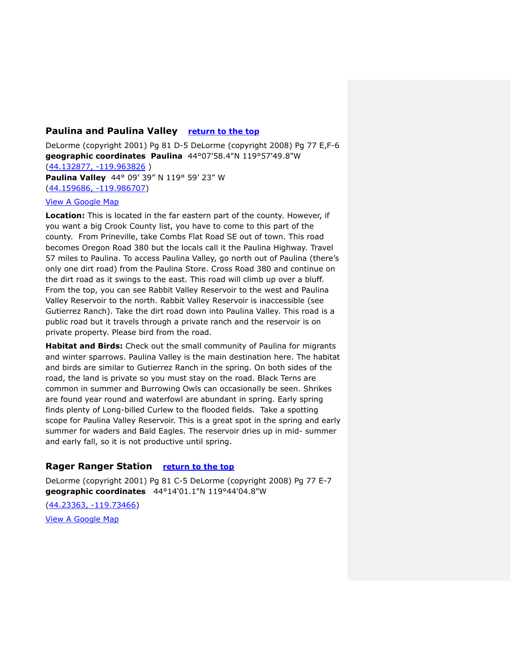# <span id="page-18-0"></span>**Paulina and Paulina Valley [return to the top](#page-0-0)**

DeLorme (copyright 2001) Pg 81 D-5 DeLorme (copyright 2008) Pg 77 E,F-6 **geographic coordinates Paulina** 44°07'58.4"N 119°57'49.8"W [\(44.132877, -119.963826](https://www.google.com/maps/place/44°07) ) **Paulina Valley** 44° 09' 39" N 119° 59' 23" W [\(44.159686, -119.986707\)](https://www.google.com/maps/place/44°09)

#### [View A Google Map](http://maps.google.com/maps/ms?hl=en&ie=UTF8&msa=0&msid=108036481085398338899.000462f2b5eb5acc1fba6&ll=44.14871,-120.168457&spn=0.755783,2.113495&z=10)

**Location:** This is located in the far eastern part of the county. However, if you want a big Crook County list, you have to come to this part of the county. From Prineville, take Combs Flat Road SE out of town. This road becomes Oregon Road 380 but the locals call it the Paulina Highway. Travel 57 miles to Paulina. To access Paulina Valley, go north out of Paulina (there's only one dirt road) from the Paulina Store. Cross Road 380 and continue on the dirt road as it swings to the east. This road will climb up over a bluff. From the top, you can see Rabbit Valley Reservoir to the west and Paulina Valley Reservoir to the north. Rabbit Valley Reservoir is inaccessible (see Gutierrez Ranch). Take the dirt road down into Paulina Valley. This road is a public road but it travels through a private ranch and the reservoir is on private property. Please bird from the road.

**Habitat and Birds:** Check out the small community of Paulina for migrants and winter sparrows. Paulina Valley is the main destination here. The habitat and birds are similar to Gutierrez Ranch in the spring. On both sides of the road, the land is private so you must stay on the road. Black Terns are common in summer and Burrowing Owls can occasionally be seen. Shrikes are found year round and waterfowl are abundant in spring. Early spring finds plenty of Long-billed Curlew to the flooded fields. Take a spotting scope for Paulina Valley Reservoir. This is a great spot in the spring and early summer for waders and Bald Eagles. The reservoir dries up in mid- summer and early fall, so it is not productive until spring.

# **Rager Ranger Station [return to the top](#page-0-0)**

DeLorme (copyright 2001) Pg 81 C-5 DeLorme (copyright 2008) Pg 77 E-7 **geographic coordinates** 44°14'01.1"N 119°44'04.8"W [\(44.23363, -119.73466\)](https://www.google.com/maps/place/44°14)

[View A Google Map](http://maps.google.com/maps/ms?hl=en&ie=UTF8&msa=0&msid=108036481085398338899.000462f2b5eb5acc1fba6&ll=44.14871,-120.168457&spn=0.755783,2.113495&z=10)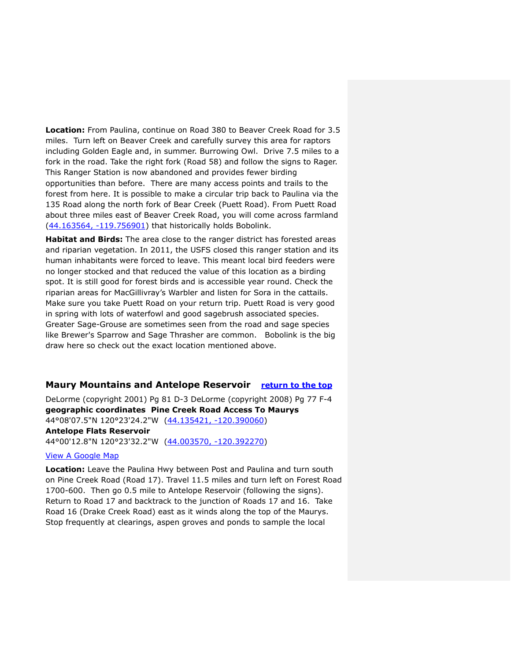**Location:** From Paulina, continue on Road 380 to Beaver Creek Road for 3.5 miles. Turn left on Beaver Creek and carefully survey this area for raptors including Golden Eagle and, in summer. Burrowing Owl. Drive 7.5 miles to a fork in the road. Take the right fork (Road 58) and follow the signs to Rager. This Ranger Station is now abandoned and provides fewer birding opportunities than before. There are many access points and trails to the forest from here. It is possible to make a circular trip back to Paulina via the 135 Road along the north fork of Bear Creek (Puett Road). From Puett Road about three miles east of Beaver Creek Road, you will come across farmland [\(44.163564, -119.756901\)](https://www.google.com/maps/place/44°09) that historically holds Bobolink.

**Habitat and Birds:** The area close to the ranger district has forested areas and riparian vegetation. In 2011, the USFS closed this ranger station and its human inhabitants were forced to leave. This meant local bird feeders were no longer stocked and that reduced the value of this location as a birding spot. It is still good for forest birds and is accessible year round. Check the riparian areas for MacGillivray's Warbler and listen for Sora in the cattails. Make sure you take Puett Road on your return trip. Puett Road is very good in spring with lots of waterfowl and good sagebrush associated species. Greater Sage-Grouse are sometimes seen from the road and sage species like Brewer's Sparrow and Sage Thrasher are common. Bobolink is the big draw here so check out the exact location mentioned above.

### <span id="page-19-0"></span>**Maury Mountains and Antelope Reservoir [return to the top](#page-0-0)**

DeLorme (copyright 2001) Pg 81 D-3 DeLorme (copyright 2008) Pg 77 F-4 **geographic coordinates Pine Creek Road Access To Maurys** 44°08'07.5"N 120°23'24.2"W [\(44.135421, -120.390060\)](https://www.google.com/maps/place/44°08) **Antelope Flats Reservoir** 44°00'12.8"N 120°23'32.2"W [\(44.003570, -120.392270\)](https://www.google.com/maps/place/44°00)

#### [View A Google Map](http://maps.google.com/maps/ms?hl=en&ie=UTF8&msa=0&msid=108036481085398338899.000462f31e66608a544e3&ll=44.069334,-120.39917&spn=0.39271,1.056747&z=11)

**Location:** Leave the Paulina Hwy between Post and Paulina and turn south on Pine Creek Road (Road 17). Travel 11.5 miles and turn left on Forest Road 1700-600. Then go 0.5 mile to Antelope Reservoir (following the signs). Return to Road 17 and backtrack to the junction of Roads 17 and 16. Take Road 16 (Drake Creek Road) east as it winds along the top of the Maurys. Stop frequently at clearings, aspen groves and ponds to sample the local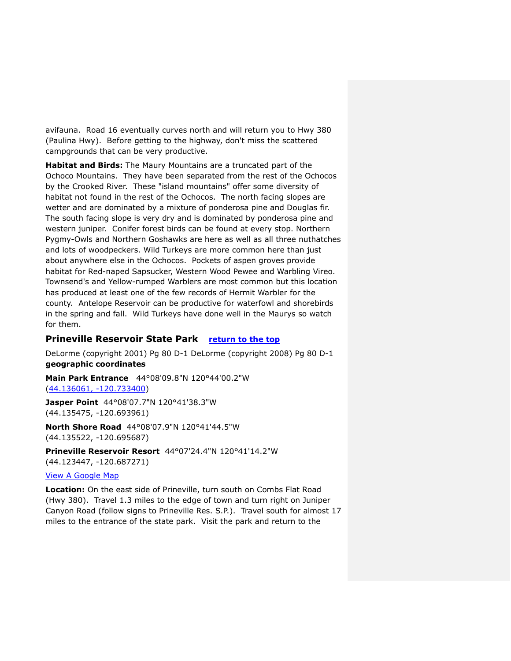avifauna. Road 16 eventually curves north and will return you to Hwy 380 (Paulina Hwy). Before getting to the highway, don't miss the scattered campgrounds that can be very productive.

**Habitat and Birds:** The Maury Mountains are a truncated part of the Ochoco Mountains. They have been separated from the rest of the Ochocos by the Crooked River. These "island mountains" offer some diversity of habitat not found in the rest of the Ochocos. The north facing slopes are wetter and are dominated by a mixture of ponderosa pine and Douglas fir. The south facing slope is very dry and is dominated by ponderosa pine and western juniper. Conifer forest birds can be found at every stop. Northern Pygmy-Owls and Northern Goshawks are here as well as all three nuthatches and lots of woodpeckers. Wild Turkeys are more common here than just about anywhere else in the Ochocos. Pockets of aspen groves provide habitat for Red-naped Sapsucker, Western Wood Pewee and Warbling Vireo. Townsend's and Yellow-rumped Warblers are most common but this location has produced at least one of the few records of Hermit Warbler for the county. Antelope Reservoir can be productive for waterfowl and shorebirds in the spring and fall. Wild Turkeys have done well in the Maurys so watch for them.

# <span id="page-20-0"></span>**Prineville Reservoir State Park [return to the top](#page-0-0)**

DeLorme (copyright 2001) Pg 80 D-1 DeLorme (copyright 2008) Pg 80 D-1 **geographic coordinates** 

**Main Park Entrance** 44°08'09.8"N 120°44'00.2"W [\(44.136061, -120.733400\)](https://www.google.com/maps/place/44°08)

**Jasper Point** 44°08'07.7"N 120°41'38.3"W [\(44.135475, -120.693961\)](https://www.google.com/maps/place/44°08)

**North Shore Road** 44°08'07.9"N 120°41'44.5"W [\(44.135522, -120.695687\)](https://www.google.com/maps/place/44°08)

**Prineville Reservoir Resort** 44°07'24.4"N 120°41'14.2"W [\(44.123447, -120.687271\)](https://www.google.com/maps/place/44°07)

#### [View A Google Map](http://maps.google.com/maps/ms?hl=en&ie=UTF8&msa=0&msid=108036481085398338899.000462f247a6e1f296655&z=10)

**Location:** On the east side of Prineville, turn south on Combs Flat Road (Hwy 380). Travel 1.3 miles to the edge of town and turn right on Juniper Canyon Road (follow signs to Prineville Res. S.P.). Travel south for almost 17 miles to the entrance of the state park. Visit the park and return to the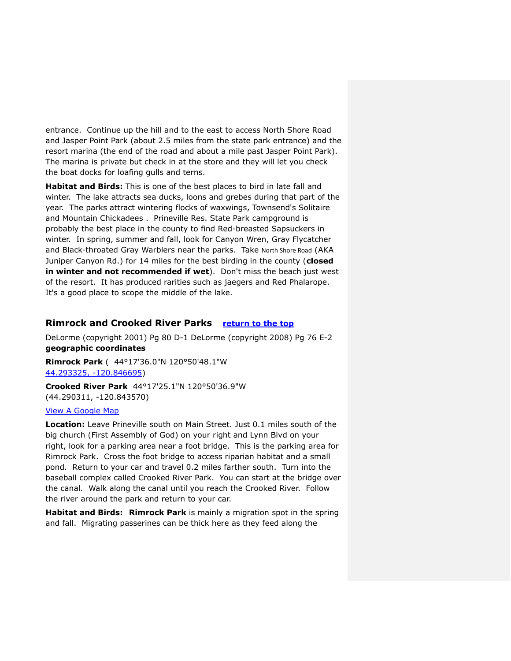entrance. Continue up the hill and to the east to access North Shore Road and Jasper Point Park (about 2.5 miles from the state park entrance) and the resort marina (the end of the road and about a mile past Jasper Point Park). The marina is private but check in at the store and they will let you check the boat docks for loafing gulls and terns.

**Habitat and Birds:** This is one of the best places to bird in late fall and winter. The lake attracts sea ducks, loons and grebes during that part of the year. The parks attract wintering flocks of waxwings, Townsend's Solitaire and Mountain Chickadees . Prineville Res. State Park campground is probably the best place in the county to find Red-breasted Sapsuckers in winter. In spring, summer and fall, look for Canyon Wren, Gray Flycatcher and Black-throated Gray Warblers near the parks. Take [North Shore Road](#page-16-2) (AKA Juniper Canyon Rd.) for 14 miles for the best birding in the county (**closed in winter and not recommended if wet**). Don't miss the beach just west of the resort. It has produced rarities such as jaegers and Red Phalarope. It's a good place to scope the middle of the lake.

# <span id="page-21-0"></span>**Rimrock and Crooked River Parks [return to the top](#page-0-0)**

DeLorme (copyright 2001) Pg 80 D-1 DeLorme (copyright 2008) Pg 76 E-2 **geographic coordinates** 

**Rimrock Park** ( 44°17'36.0"N 120°50'48.1"W [44.293325, -120.846695\)](https://www.google.com/maps/place/44°17)

**Crooked River Park** 44°17'25.1"N 120°50'36.9"W [\(44.290311, -120.843570\)](https://www.google.com/maps/place/44°17)

#### [View A Google Map](http://maps.google.com/maps/ms?hl=en&ie=UTF8&msa=0&msid=108036481085398338899.000462f247a6e1f296655&z=10)

**Location:** Leave Prineville south on Main Street. Just 0.1 miles south of the big church (First Assembly of God) on your right and Lynn Blvd on your right, look for a parking area near a foot bridge. This is the parking area for Rimrock Park. Cross the foot bridge to access riparian habitat and a small pond. Return to your car and travel 0.2 miles farther south. Turn into the baseball complex called Crooked River Park. You can start at the bridge over the canal. Walk along the canal until you reach the Crooked River. Follow the river around the park and return to your car.

**Habitat and Birds: Rimrock Park** is mainly a migration spot in the spring and fall. Migrating passerines can be thick here as they feed along the